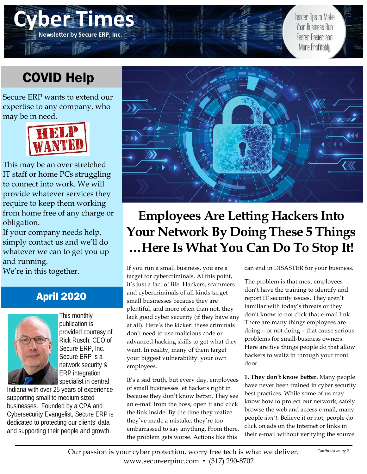# $\bigcirc$   $\bigcirc$   $\bigcirc$ **Newsletter by Secure ERP, Inc.**

Insider Tips to Make Your Business Run Faster, Easier, and More Profitably

# COVID Help

Secure ERP wants to extend our expertise to any company, who may be in need.



This may be an over stretched IT staff or home PCs struggling to connect into work. We will provide whatever services they require to keep them working from home free of any charge or obligation.

If your company needs help, simply contact us and we'll do whatever we can to get you up and running.

We're in this together.

### April 2020



This monthly publication is provided courtesy of Rick Rusch, CEO of Secure ERP, Inc. Secure ERP is a network security & ERP integration specialist in central

Indiana with over 25 years of experience supporting small to medium sized businesses. Founded by a CPA and Cybersecurity Evangelist, Secure ERP is dedicated to protecting our clients' data and supporting their people and growth.



## **Employees Are Letting Hackers Into Your Network By Doing These 5 Things …Here Is What You Can Do To Stop It!**

If you run a small business, you are a target for cybercriminals. At this point, it's just a fact of life. Hackers, scammers and cybercriminals of all kinds target small businesses because they are plentiful, and more often than not, they lack good cyber security (if they have any at all). Here's the kicker: these criminals don't need to use malicious code or advanced hacking skills to get what they want. In reality, many of them target your biggest vulnerability: your own employees.

It's a sad truth, but every day, employees of small businesses let hackers right in because they don't know better. They see an e-mail from the boss, open it and click the link inside. By the time they realize they've made a mistake, they're too embarrassed to say anything. From there, the problem gets worse. Actions like this

can end in DISASTER for your business.

The problem is that most employees don't have the training to identify and report IT security issues. They aren't familiar with today's threats or they don't know to not click that e-mail link. There are many things employees are doing – or not doing – that cause serious problems for small-business owners. Here are five things people do that allow hackers to waltz in through your front door.

**1. They don't know better.** Many people have never been trained in cyber security best practices. While some of us may know how to protect our network, safely browse the web and access e-mail, many people *don't*. Believe it or not, people do click on ads on the Internet or links in their e-mail without verifying the source.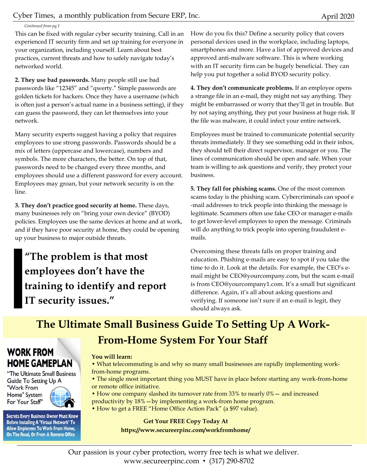#### *Continued from pg.1*

This can be fixed with regular cyber security training. Call in an experienced IT security firm and set up training for everyone in your organization, including yourself. Learn about best practices, current threats and how to safely navigate today's networked world.

**2. They use bad passwords.** Many people still use bad passwords like "12345" and "qwerty." Simple passwords are golden tickets for hackers. Once they have a username (which is often just a person's actual name in a business setting), if they can guess the password, they can let themselves into your network.

Many security experts suggest having a policy that requires employees to use strong passwords. Passwords should be a mix of letters (uppercase and lowercase), numbers and symbols. The more characters, the better. On top of that, passwords need to be changed every three months, and employees should use a different password for every account. Employees may groan, but your network security is on the line.

**3. They don't practice good security at home.** These days, many businesses rely on "bring your own device" (BYOD) policies. Employees use the same devices at home and at work, and if they have poor security at home, they could be opening up your business to major outside threats.

**"The problem is that most employees don't have the training to identify and report IT security issues."** 

How do you fix this? Define a security policy that covers personal devices used in the workplace, including laptops, smartphones and more. Have a list of approved devices and approved anti-malware software. This is where working with an IT security firm can be hugely beneficial. They can help you put together a solid BYOD security policy.

**4. They don't communicate problems.** If an employee opens a strange file in an e-mail, they might not say anything. They might be embarrassed or worry that they'll get in trouble. But by not saying anything, they put your business at huge risk. If the file was malware, it could infect your entire network.

Employees must be trained to communicate potential security threats immediately. If they see something odd in their inbox, they should tell their direct supervisor, manager or you. The lines of communication should be open and safe. When your team is willing to ask questions and verify, they protect your business.

**5. They fall for phishing scams.** One of the most common scams today is the phishing scam. Cybercriminals can spoof e -mail addresses to trick people into thinking the message is legitimate. Scammers often use fake CEO or manager e-mails to get lower-level employees to open the message. Criminals will do anything to trick people into opening fraudulent emails.

Overcoming these threats falls on proper training and education. Phishing e-mails are easy to spot if you take the time to do it. Look at the details. For example, the CEO's email might be CEO@yourcompany.com, but the scam e-mail is from CEO@yourcompany1.com. It's a small but significant difference. Again, it's all about asking questions and verifying. If someone isn't sure if an e-mail is legit, they should always ask.

### **The Ultimate Small Business Guide To Setting Up A Work-From-Home System For Your Staff**

### **WORK FROM HOME GAMEPLAN**

"The Ultimate Small Business Guide To Setting Up A

"Work From Home" System For Your Staff"

**Secrets Every Business Owner Must Know Before Installing A 'Virtual Network' To Allow Employees To Work From Home,** On The Road, Or From A Remote Office

### **You will learn:**

• What telecommuting is and why so many small businesses are rapidly implementing workfrom-home programs.

• The single most important thing you MUST have in place before starting any work-from-home or remote office initiative.

• How one company slashed its turnover rate from 33% to nearly 0%— and increased productivity by 18%—by implementing a work-from home program.

• How to get a FREE "Home Office Action Pack" (a \$97 value).

### **Get Your FREE Copy Today At**

**https://www.secureerpinc.com/workfromhome/**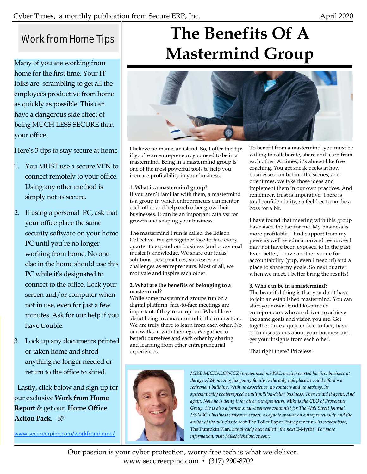### Work from Home Tips

Many of you are working from home for the first time. Your IT folks are scrambling to get all the employees productive from home as quickly as possible. This can have a dangerous side effect of being MUCH LESS SECURE than your office.

Here's 3 tips to stay secure at home

- 1. You MUST use a secure VPN to connect remotely to your office. Using any other method is simply not as secure.
- 2. If using a personal PC, ask that your office place the same security software on your home PC until you're no longer working from home. No one else in the home should use this PC while it's designated to connect to the office. Lock your screen and/or computer when not in use, even for just a few minutes. Ask for our help if you have trouble.
- 3. Lock up any documents printed or taken home and shred anything no longer needed or return to the office to shred.

 Lastly, click below and sign up for our exclusive **Work from Home Report** & get our **Home Office Action Pack**. - R2

www.secureerpinc.com/workfromhome/

# **The Benefits Of A Mastermind Group**



I believe no man is an island. So, I offer this tip: if you're an entrepreneur, you need to be in a mastermind. Being in a mastermind group is one of the most powerful tools to help you increase profitability in your business.

#### **1. What is a mastermind group?**

If you aren't familiar with them, a mastermind is a group in which entrepreneurs can mentor each other and help each other grow their businesses. It can be an important catalyst for growth and shaping your business.

The mastermind I run is called the Edison Collective. We get together face-to-face every quarter to expand our business (and occasional musical) knowledge. We share our ideas, solutions, best practices, successes and challenges as entrepreneurs. Most of all, we motivate and inspire each other.

#### **2. What are the benefits of belonging to a mastermind?**

While some mastermind groups run on a digital platform, face-to-face meetings are important if they're an option. What I love about being in a mastermind is the connection. We are truly there to learn from each other. No one walks in with their ego. We gather to benefit ourselves and each other by sharing and learning from other entrepreneurial experiences.

To benefit from a mastermind, you must be willing to collaborate, share and learn from each other. At times, it's almost like free coaching. You get sneak peeks at how businesses run behind the scenes, and oftentimes, we take those ideas and implement them in our own practices. And remember, trust is imperative. There is total confidentiality, so feel free to not be a boss for a bit.

I have found that meeting with this group has raised the bar for me. My business is more profitable. I find support from my peers as well as education and resources I may not have been exposed to in the past. Even better, I have another venue for accountability (yup, even I need it!) and a place to share my goals. So next quarter when we meet, I better bring the results!

#### **3. Who can be in a mastermind?**

The beautiful thing is that you don't have to join an established mastermind. You can start your own. Find like-minded entrepreneurs who are driven to achieve the same goals and vision you are. Get together once a quarter face-to-face, have open discussions about your business and get your insights from each other.

That right there? Priceless!



*MIKE MICHALOWICZ (pronounced mi-KAL-o-wits) started his first business at the age of 24, moving his young family to the only safe place he could afford – a retirement building. With no experience, no contacts and no savings, he systematically bootstrapped a multimillion-dollar business. Then he did it again. And again. Now he is doing it for other entrepreneurs. Mike is the CEO of Provendus Group. He is also a former small-business columnist for The Wall Street Journal, MSNBC's business makeover expert, a keynote speaker on entrepreneurship and the author of the cult classic book* The Toilet Paper Entrepreneur*. His newest book,*  The Pumpkin Plan*, has already been called "the next* E-Myth*!" For more information, visit MikeMichalowicz.com.* 

Our passion is your cyber protection, worry free tech is what we deliver. www.secureerpinc.com • (317) 290-8702